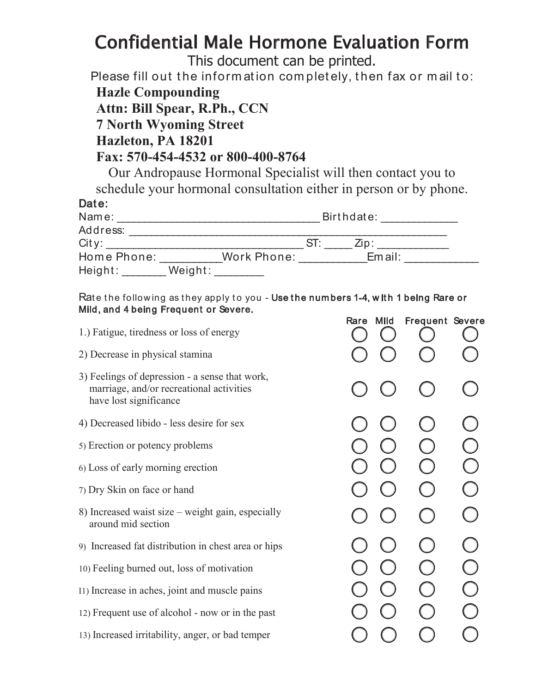## **Confidential Male Hormone Evaluation Form**

This document can be printed.

Please fill out the information completely, then fax or mail to: **Hazle Compounding** Attn: Bill Spear, R.Ph., CCN **7 North Wyoming Street** Hazleton, PA 18201

## Fax: 570-454-4532 or 800-400-8764

Our Andropause Hormonal Specialist will then contact you to schedule your hormonal consultation either in person or by phone.

| Date: |  |  |
|-------|--|--|
|       |  |  |

| Name:       | Birthdate: |             |  |              |  |
|-------------|------------|-------------|--|--------------|--|
| Address:    |            |             |  |              |  |
| City:       |            |             |  | $\angle$ in' |  |
| Home Phone: |            | Work Phone: |  | Email:       |  |
| Height:     | Weight:    |             |  |              |  |

Rate the following as they apply to you - Use the numbers 1-4, with 1 being Rare or Mild, and 4 being Frequent or Severe.  $\mathbf{r}$  $\mathbf{A}$  and  $\mathbf{B}$  and  $\mathbf{B}$  and  $\mathbf{B}$  $\sim$   $\sim$ 

| 1.) Fatigue, tiredness or loss of energy                                                                             | Rare Mild | <b>Frequent Severe</b> |  |
|----------------------------------------------------------------------------------------------------------------------|-----------|------------------------|--|
| 2) Decrease in physical stamina                                                                                      |           |                        |  |
| 3) Feelings of depression - a sense that work,<br>marriage, and/or recreational activities<br>have lost significance |           |                        |  |
| 4) Decreased libido - less desire for sex                                                                            |           |                        |  |
| 5) Erection or potency problems                                                                                      |           |                        |  |
| 6) Loss of early morning erection                                                                                    |           |                        |  |
| 7) Dry Skin on face or hand                                                                                          |           |                        |  |
| 8) Increased waist size – weight gain, especially<br>around mid section                                              |           |                        |  |
| 9) Increased fat distribution in chest area or hips                                                                  |           |                        |  |
| 10) Feeling burned out, loss of motivation                                                                           |           |                        |  |
| I1) Increase in aches, joint and muscle pains                                                                        |           |                        |  |
| 12) Frequent use of alcohol - now or in the past                                                                     |           |                        |  |
| 13) Increased irritability, anger, or bad temper                                                                     |           |                        |  |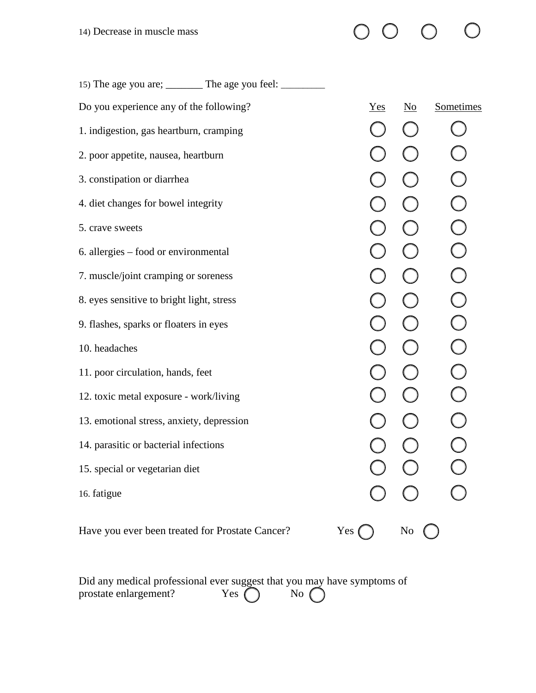| 15) The age you are; ________ The age you feel: ________ |     |                           |            |
|----------------------------------------------------------|-----|---------------------------|------------|
| Do you experience any of the following?                  | Yes | $\underline{\mathrm{No}}$ | Sometimes  |
| 1. indigestion, gas heartburn, cramping                  |     |                           |            |
| 2. poor appetite, nausea, heartburn                      |     |                           |            |
| 3. constipation or diarrhea                              |     |                           | $\bigcirc$ |
| 4. diet changes for bowel integrity                      |     |                           | $\bigcirc$ |
| 5. crave sweets                                          |     |                           | $\bigcirc$ |
| 6. allergies – food or environmental                     |     |                           | $\bigcirc$ |
| 7. muscle/joint cramping or soreness                     |     |                           | $\bigcirc$ |
| 8. eyes sensitive to bright light, stress                |     |                           | $\bigcirc$ |
| 9. flashes, sparks or floaters in eyes                   |     |                           | $\bigcirc$ |
| 10. headaches                                            |     |                           | $\bigcirc$ |
| 11. poor circulation, hands, feet                        |     |                           | $\bigcirc$ |
| 12. toxic metal exposure - work/living                   |     |                           | $\bigcirc$ |
| 13. emotional stress, anxiety, depression                |     |                           |            |
| 14. parasitic or bacterial infections                    |     |                           |            |
| 15. special or vegetarian diet                           |     |                           |            |
| 16. fatigue                                              |     |                           |            |
| Have you ever been treated for Prostate Cancer?          | Yes | No                        |            |

 $\bigcirc$ 

 $\begin{matrix} 0 & 0 & 0 \end{matrix}$ 

| Did any medical professional ever suggest that you may have symptoms of |               |              |  |
|-------------------------------------------------------------------------|---------------|--------------|--|
| prostate enlargement?                                                   | Yes $\bigcap$ | $\sqrt{N_0}$ |  |